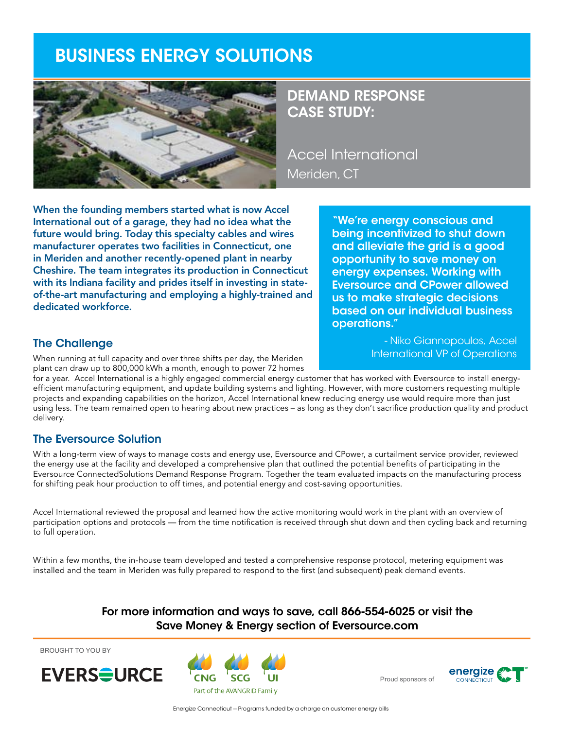# BUSINESS ENERGY SOLUTIONS



## DEMAND RESPONSE CASE STUDY:

Accel International Meriden, CT

When the founding members started what is now Accel International out of a garage, they had no idea what the future would bring. Today this specialty cables and wires manufacturer operates two facilities in Connecticut, one in Meriden and another recently-opened plant in nearby Cheshire. The team integrates its production in Connecticut with its Indiana facility and prides itself in investing in stateof-the-art manufacturing and employing a highly-trained and dedicated workforce.

"We're energy conscious and being incentivized to shut down and alleviate the grid is a good opportunity to save money on energy expenses. Working with Eversource and CPower allowed us to make strategic decisions based on our individual business operations."

> - Niko Giannopoulos, Accel International VP of Operations

### The Challenge

When running at full capacity and over three shifts per day, the Meriden plant can draw up to 800,000 kWh a month, enough to power 72 homes

for a year. Accel International is a highly engaged commercial energy customer that has worked with Eversource to install energyefficient manufacturing equipment, and update building systems and lighting. However, with more customers requesting multiple projects and expanding capabilities on the horizon, Accel International knew reducing energy use would require more than just using less. The team remained open to hearing about new practices – as long as they don't sacrifice production quality and product delivery.

### The Eversource Solution

With a long-term view of ways to manage costs and energy use, Eversource and CPower, a curtailment service provider, reviewed the energy use at the facility and developed a comprehensive plan that outlined the potential benefits of participating in the Eversource ConnectedSolutions Demand Response Program. Together the team evaluated impacts on the manufacturing process for shifting peak hour production to off times, and potential energy and cost-saving opportunities.

Accel International reviewed the proposal and learned how the active monitoring would work in the plant with an overview of participation options and protocols — from the time notification is received through shut down and then cycling back and returning to full operation.

Within a few months, the in-house team developed and tested a comprehensive response protocol, metering equipment was installed and the team in Meriden was fully prepared to respond to the first (and subsequent) peak demand events.

### For more information and ways to save, call 866-554-6025 or visit the Save Money & Energy section of Eversource.com

BROUGHT TO YOU BY